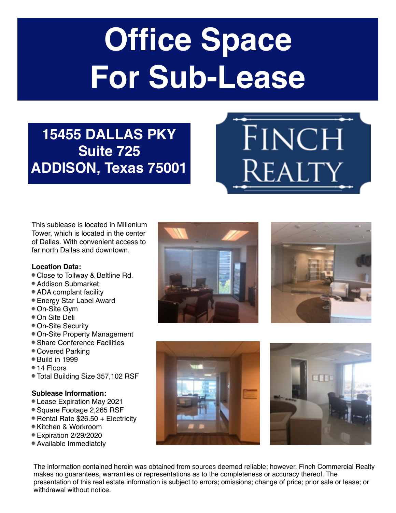# **Office Space For Sub-Lease**

# **15455 DALLAS PKY Suite 725 ADDISON, Texas 75001**

This sublease is located in Millenium Tower, which is located in the center of Dallas. With convenient access to far north Dallas and downtown.

# **Location Data:**

- Close to Tollway & Beltline Rd.
- Addison Submarket
- ADA complant facility
- Energy Star Label Award
- On-Site Gym
- On Site Deli
- On-Site Security
- On-Site Property Management
- Share Conference Facilities
- Covered Parking
- Build in 1999
- 14 Floors
- Total Building Size 357,102 RSF

# **Sublease Information:**

- Lease Expiration May 2021
- Square Footage 2,265 RSF
- Rental Rate \$26.50 + Electricity
- Kitchen & Workroom
- Expiration 2/29/2020
- Available Immediately





FINCH

Realty





The information contained herein was obtained from sources deemed reliable; however, Finch Commercial Realty makes no guarantees, warranties or representations as to the completeness or accuracy thereof. The presentation of this real estate information is subject to errors; omissions; change of price; prior sale or lease; or withdrawal without notice.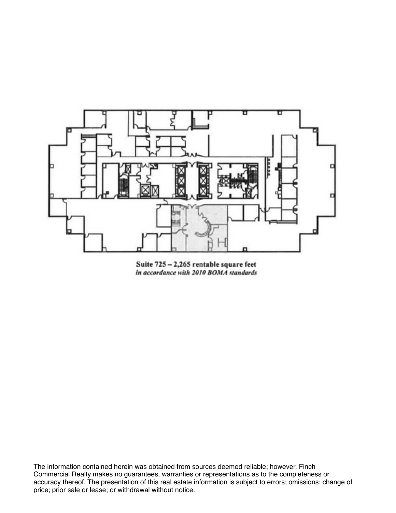

Suite 725 - 2,265 rentable square feet<br>in accordance with 2010 BOMA standards

The information contained herein was obtained from sources deemed reliable; however, Finch Commercial Realty makes no guarantees, warranties or representations as to the completeness or accuracy thereof. The presentation of this real estate information is subject to errors; omissions; change of price; prior sale or lease; or withdrawal without notice.